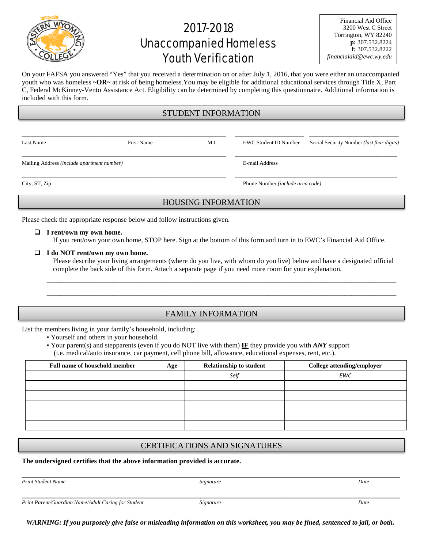

# 2017-2018 Unaccompanied Homeless Youth Verification

| <b>Financial Aid Office</b> |
|-----------------------------|
| 3200 West C Street          |
| Torrington, WY 82240        |
| p: 307.532.8224             |
| f: 307.532.8222             |
| financialaid@ewc.wy.edu     |

On your FAFSA you answered "Yes" that you received a determination on or after July 1, 2016, that you were either an unaccompanied youth who was homeless **~OR~** at risk of being homeless.You may be eligible for additional educational services through Title X, Part C, Federal McKinney-Vento Assistance Act. Eligibility can be determined by completing this questionnaire. Additional information is included with this form.

### STUDENT INFORMATION

\_\_\_\_\_\_\_\_\_\_\_\_\_\_\_\_\_\_\_\_\_\_\_\_\_\_\_\_\_\_\_\_\_\_\_\_\_\_\_\_\_\_\_\_\_\_\_\_\_\_\_\_\_\_\_\_\_\_\_ \_\_\_\_\_\_\_\_\_\_\_\_\_\_\_\_\_\_\_\_ \_\_\_\_\_\_\_\_\_\_\_\_\_\_\_\_\_\_\_\_\_\_\_\_\_\_

Last Name First Name M.I. EWC Student ID Number Social Security Number *(last four digits)*

\_\_\_\_\_\_\_\_\_\_\_\_\_\_\_\_\_\_\_\_\_\_\_\_\_\_\_\_\_\_\_\_\_\_\_\_\_\_\_\_\_\_\_\_\_\_\_\_\_\_\_\_\_\_\_\_\_\_\_ \_\_\_\_\_\_\_\_\_\_\_\_\_\_\_\_\_\_\_\_\_\_\_\_\_\_\_\_\_\_\_\_\_\_\_\_\_\_\_\_\_\_\_\_\_\_\_ Mailing Address *(include apartment number)* E-mail Address

City, ST, Zip Phone Number *(include area code)*

## HOUSING INFORMATION

\_\_\_\_\_\_\_\_\_\_\_\_\_\_\_\_\_\_\_\_\_\_\_\_\_\_\_\_\_\_\_\_\_\_\_\_\_\_\_\_\_\_\_\_\_\_\_\_\_\_\_\_\_\_\_\_\_\_\_ \_\_\_\_\_\_\_\_\_\_\_\_\_\_\_\_\_\_\_\_\_\_\_\_\_\_\_\_\_\_\_\_\_\_\_\_\_\_\_\_\_\_\_\_\_\_\_

Please check the appropriate response below and follow instructions given.

#### **I rent/own my own home.**

If you rent/own your own home, STOP here. Sign at the bottom of this form and turn in to EWC's Financial Aid Office.

#### **I do NOT rent/own my own home.**

Please describe your living arrangements (where do you live, with whom do you live) below and have a designated official complete the back side of this form. Attach a separate page if you need more room for your explanation.

\_\_\_\_\_\_\_\_\_\_\_\_\_\_\_\_\_\_\_\_\_\_\_\_\_\_\_\_\_\_\_\_\_\_\_\_\_\_\_\_\_\_\_\_\_\_\_\_\_\_\_\_\_\_\_\_\_\_\_\_\_\_\_\_\_\_\_\_\_\_\_\_\_\_\_\_\_\_\_\_\_\_\_\_\_\_\_\_\_\_\_\_\_\_\_\_\_\_\_\_\_ \_\_\_\_\_\_\_\_\_\_\_\_\_\_\_\_\_\_\_\_\_\_\_\_\_\_\_\_\_\_\_\_\_\_\_\_\_\_\_\_\_\_\_\_\_\_\_\_\_\_\_\_\_\_\_\_\_\_\_\_\_\_\_\_\_\_\_\_\_\_\_\_\_\_\_\_\_\_\_\_\_\_\_\_\_\_\_\_\_\_\_\_\_\_\_\_\_\_\_\_\_

## FAMILY INFORMATION

List the members living in your family's household, including:

• Yourself and others in your household.

• Your parent(s) and stepparents (even if you do NOT live with them) **IF** they provide you with *ANY* support (i.e. medical/auto insurance, car payment, cell phone bill, allowance, educational expenses, rent, etc.).

| Full name of household member | Age | <b>Relationship to student</b> | College attending/employer |
|-------------------------------|-----|--------------------------------|----------------------------|
|                               |     | Self                           | <b>EWC</b>                 |
|                               |     |                                |                            |
|                               |     |                                |                            |
|                               |     |                                |                            |
|                               |     |                                |                            |
|                               |     |                                |                            |

## CERTIFICATIONS AND SIGNATURES

#### **The undersigned certifies that the above information provided is accurate.**

*Print Student Name Signature Date*

**\_\_\_\_\_\_\_\_\_\_\_\_\_\_\_\_\_\_\_\_\_\_\_\_\_\_\_\_\_\_\_\_\_\_\_\_\_\_\_\_\_\_\_\_\_\_\_\_\_\_\_\_\_\_\_\_\_\_\_\_\_\_\_\_\_\_\_\_\_\_\_\_\_\_\_\_\_\_\_\_\_\_\_\_\_\_\_\_\_\_\_**

*WARNING: If you purposely give false or misleading information on this worksheet, you may be fined, sentenced to jail, or both.*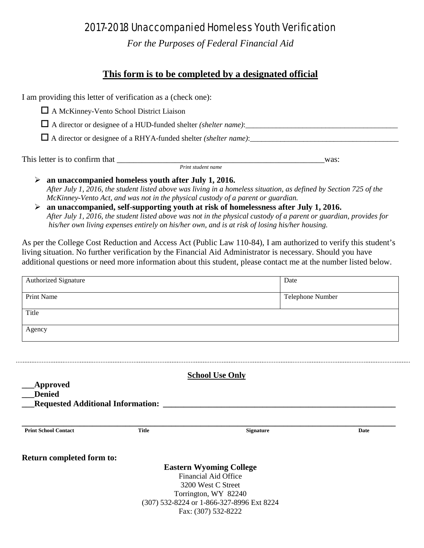## 2017-2018 Unaccompanied Homeless Youth Verification

*For the Purposes of Federal Financial Aid*

## **This form is to be completed by a designated official**

I am providing this letter of verification as a (check one):

A McKinney-Vento School District Liaison

A director or designee of a HUD-funded shelter *(shelter name)*:\_\_\_\_\_\_\_\_\_\_\_\_\_\_\_\_\_\_\_\_\_\_\_\_\_\_\_\_\_\_\_\_\_\_\_\_\_\_\_\_

 $\Box$  A director or designee of a RHYA-funded shelter *(shelter name)*:

This letter is to confirm that \_\_\_\_\_\_\_\_\_\_\_\_\_\_\_\_\_\_\_\_\_\_\_\_\_\_\_\_\_\_\_\_\_\_\_\_\_\_\_\_\_\_\_\_\_\_\_\_\_\_was: *Print student name*

- **an unaccompanied homeless youth after July 1, 2016.** *After July 1, 2016, the student listed above was living in a homeless situation, as defined by Section 725 of the McKinney-Vento Act, and was not in the physical custody of a parent or guardian.*
- **an unaccompanied, self-supporting youth at risk of homelessness after July 1, 2016.** *After July 1, 2016, the student listed above was not in the physical custody of a parent or guardian, provides for his/her own living expenses entirely on his/her own, and is at risk of losing his/her housing.*

As per the College Cost Reduction and Access Act (Public Law 110-84), I am authorized to verify this student's living situation. No further verification by the Financial Aid Administrator is necessary. Should you have additional questions or need more information about this student, please contact me at the number listed below.

| Authorized Signature                                     |              | Date                                                             |      |
|----------------------------------------------------------|--------------|------------------------------------------------------------------|------|
| Print Name                                               |              | Telephone Number                                                 |      |
| Title                                                    |              |                                                                  |      |
| Agency                                                   |              |                                                                  |      |
|                                                          |              |                                                                  |      |
|                                                          |              |                                                                  |      |
|                                                          |              | <b>School Use Only</b>                                           |      |
|                                                          |              |                                                                  |      |
| <b>Approved</b>                                          |              |                                                                  |      |
| <b>Denied</b>                                            |              |                                                                  |      |
| <b>Requested Additional Information:</b>                 |              |                                                                  |      |
|                                                          | <b>Title</b> | <b>Signature</b>                                                 | Date |
|                                                          |              |                                                                  |      |
|                                                          |              |                                                                  |      |
|                                                          |              | <b>Eastern Wyoming College</b>                                   |      |
|                                                          |              | Financial Aid Office<br>3200 West C Street                       |      |
|                                                          |              | Torrington, WY 82240                                             |      |
| <b>Print School Contact</b><br>Return completed form to: |              | (307) 532-8224 or 1-866-327-8996 Ext 8224<br>Fax: (307) 532-8222 |      |